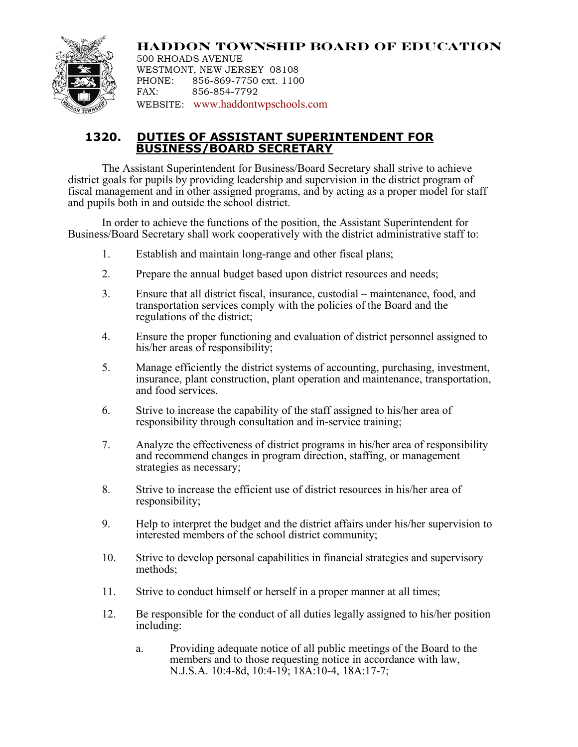

**HADDON TOWNSHIP BOARD OF EDUCATION** 500 RHOADS AVENUE WESTMONT, NEW JERSEY 08108 PHONE: 856-869-7750 ext. 1100 FAX: 856-854-7792 WEBSITE: www.haddontwpschools.com

## **1320. DUTIES OF ASSISTANT SUPERINTENDENT FOR BUSINESS/BOARD SECRETARY**

The Assistant Superintendent for Business/Board Secretary shall strive to achieve district goals for pupils by providing leadership and supervision in the district program of fiscal management and in other assigned programs, and by acting as a proper model for staff and pupils both in and outside the school district.

In order to achieve the functions of the position, the Assistant Superintendent for Business/Board Secretary shall work cooperatively with the district administrative staff to:

- 1. Establish and maintain long-range and other fiscal plans;
- 2. Prepare the annual budget based upon district resources and needs;
- 3. Ensure that all district fiscal, insurance, custodial maintenance, food, and transportation services comply with the policies of the Board and the regulations of the district;
- 4. Ensure the proper functioning and evaluation of district personnel assigned to his/her areas of responsibility;
- 5. Manage efficiently the district systems of accounting, purchasing, investment, insurance, plant construction, plant operation and maintenance, transportation, and food services.
- 6. Strive to increase the capability of the staff assigned to his/her area of responsibility through consultation and in-service training;
- 7. Analyze the effectiveness of district programs in his/her area of responsibility and recommend changes in program direction, staffing, or management strategies as necessary;
- 8. Strive to increase the efficient use of district resources in his/her area of responsibility;
- 9. Help to interpret the budget and the district affairs under his/her supervision to interested members of the school district community;
- 10. Strive to develop personal capabilities in financial strategies and supervisory methods;
- 11. Strive to conduct himself or herself in a proper manner at all times;
- 12. Be responsible for the conduct of all duties legally assigned to his/her position including:
	- a. Providing adequate notice of all public meetings of the Board to the members and to those requesting notice in accordance with law, N.J.S.A. 10:4-8d, 10:4-19; 18A:10-4, 18A:17-7;